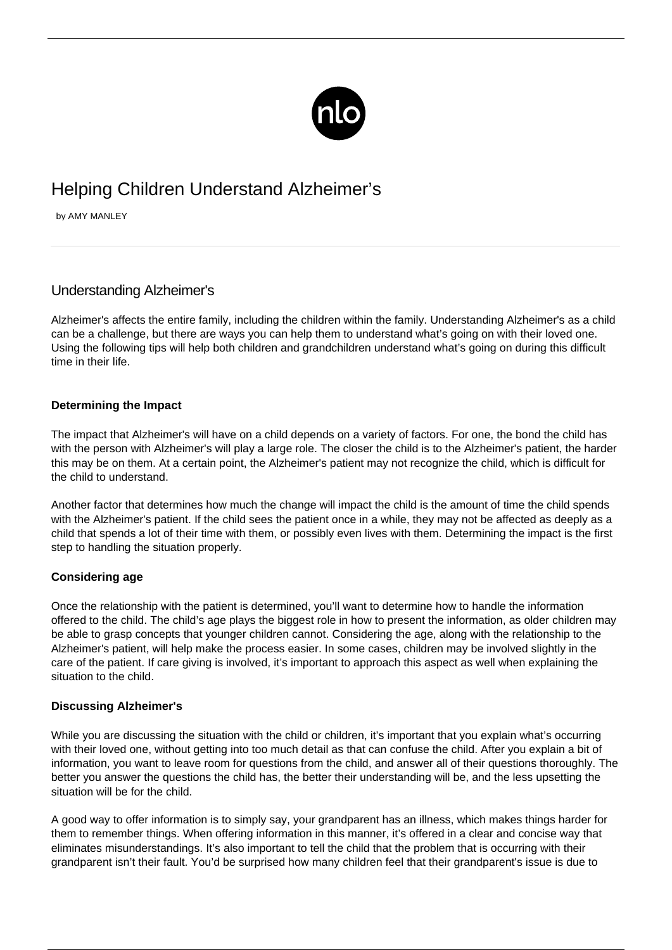

# Helping Children Understand Alzheimer's

by AMY MANLEY

# Understanding Alzheimer's

Alzheimer's affects the entire family, including the children within the family. Understanding Alzheimer's as a child can be a challenge, but there are ways you can help them to understand what's going on with their loved one. Using the following tips will help both children and grandchildren understand what's going on during this difficult time in their life.

## **Determining the Impact**

The impact that Alzheimer's will have on a child depends on a variety of factors. For one, the bond the child has with the person with Alzheimer's will play a large role. The closer the child is to the Alzheimer's patient, the harder this may be on them. At a certain point, the Alzheimer's patient may not recognize the child, which is difficult for the child to understand.

Another factor that determines how much the change will impact the child is the amount of time the child spends with the Alzheimer's patient. If the child sees the patient once in a while, they may not be affected as deeply as a child that spends a lot of their time with them, or possibly even lives with them. Determining the impact is the first step to handling the situation properly.

# **Considering age**

Once the relationship with the patient is determined, you'll want to determine how to handle the information offered to the child. The child's age plays the biggest role in how to present the information, as older children may be able to grasp concepts that younger children cannot. Considering the age, along with the relationship to the Alzheimer's patient, will help make the process easier. In some cases, children may be involved slightly in the care of the patient. If [care giving](/caregiver-burnout/) is involved, it's important to approach this aspect as well when explaining the situation to the child.

#### **Discussing Alzheimer's**

While you are discussing the situation with the child or children, it's important that you explain what's occurring with their loved one, without getting into too much detail as that can confuse the child. After you explain a bit of information, you want to leave room for questions from the child, and answer all of their questions thoroughly. The better you answer the questions the child has, the better their understanding will be, and the less upsetting the situation will be for the child.

A good way to offer information is to simply say, your grandparent has an illness, which makes things harder for them to remember things. When offering information in this manner, it's offered in a clear and concise way that eliminates misunderstandings. It's also important to tell the child that the problem that is occurring with their grandparent isn't their fault. You'd be surprised how many children feel that their grandparent's issue is due to